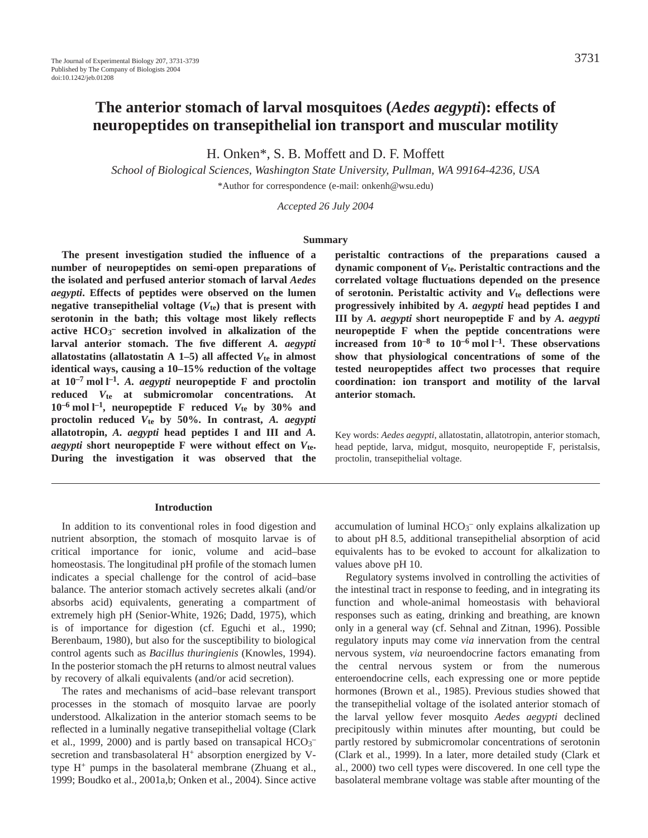# **The anterior stomach of larval mosquitoes (***Aedes aegypti***): effects of neuropeptides on transepithelial ion transport and muscular motility**

H. Onken\*, S. B. Moffett and D. F. Moffett

*School of Biological Sciences, Washington State University, Pullman, WA 99164-4236, USA*

\*Author for correspondence (e-mail: onkenh@wsu.edu)

*Accepted 26 July 2004*

#### **Summary**

**The present investigation studied the influence of a number of neuropeptides on semi-open preparations of the isolated and perfused anterior stomach of larval** *Aedes aegypti***. Effects of peptides were observed on the lumen negative transepithelial voltage (***V***te) that is present with serotonin in the bath; this voltage most likely reflects active HCO3 – secretion involved in alkalization of the larval anterior stomach. The five different** *A. aegypti* **allatostatins (allatostatin A 1–5) all affected**  $V_{te}$  **in almost identical ways, causing a 10–15% reduction of the voltage** at  $10^{-7}$  mol  $l^{-1}$ . *A. aegypti* neuropeptide F and proctolin **reduced** *V***te at submicromolar concentrations. At**  $10^{-6}$  mol l<sup>-1</sup>, neuropeptide F reduced  $V_{te}$  by 30% and **proctolin reduced** *V***te by 50%. In contrast,** *A. aegypti* **allatotropin,** *A. aegypti* **head peptides I and III and** *A. aegypti* **short neuropeptide F were without effect on** *V***te. During the investigation it was observed that the**

#### **Introduction**

In addition to its conventional roles in food digestion and nutrient absorption, the stomach of mosquito larvae is of critical importance for ionic, volume and acid–base homeostasis. The longitudinal pH profile of the stomach lumen indicates a special challenge for the control of acid–base balance. The anterior stomach actively secretes alkali (and/or absorbs acid) equivalents, generating a compartment of extremely high pH (Senior-White, 1926; Dadd, 1975), which is of importance for digestion (cf. Eguchi et al., 1990; Berenbaum, 1980), but also for the susceptibility to biological control agents such as *Bacillus thuringienis* (Knowles, 1994). In the posterior stomach the pH returns to almost neutral values by recovery of alkali equivalents (and/or acid secretion).

The rates and mechanisms of acid–base relevant transport processes in the stomach of mosquito larvae are poorly understood. Alkalization in the anterior stomach seems to be reflected in a luminally negative transepithelial voltage (Clark et al., 1999, 2000) and is partly based on transapical  $HCO_3^$ secretion and transbasolateral H<sup>+</sup> absorption energized by Vtype H+ pumps in the basolateral membrane (Zhuang et al., 1999; Boudko et al., 2001a,b; Onken et al., 2004). Since active **peristaltic contractions of the preparations caused a dynamic component of** *V***te. Peristaltic contractions and the correlated voltage fluctuations depended on the presence of serotonin. Peristaltic activity and** *V***te deflections were progressively inhibited by** *A. aegypti* **head peptides I and III by** *A. aegypti* **short neuropeptide F and by** *A. aegypti* **neuropeptide F when the peptide concentrations were increased from 10–8 to 10–6·mol·l –1. These observations show that physiological concentrations of some of the tested neuropeptides affect two processes that require coordination: ion transport and motility of the larval anterior stomach.**

Key words: *Aedes aegypti*, allatostatin, allatotropin, anterior stomach, head peptide, larva, midgut, mosquito, neuropeptide F, peristalsis, proctolin, transepithelial voltage.

accumulation of luminal HCO<sub>3</sub><sup>-</sup> only explains alkalization up to about pH 8.5, additional transepithelial absorption of acid equivalents has to be evoked to account for alkalization to values above pH 10.

Regulatory systems involved in controlling the activities of the intestinal tract in response to feeding, and in integrating its function and whole-animal homeostasis with behavioral responses such as eating, drinking and breathing, are known only in a general way (cf. Sehnal and Zitnan, 1996). Possible regulatory inputs may come *via* innervation from the central nervous system, *via* neuroendocrine factors emanating from the central nervous system or from the numerous enteroendocrine cells, each expressing one or more peptide hormones (Brown et al., 1985). Previous studies showed that the transepithelial voltage of the isolated anterior stomach of the larval yellow fever mosquito *Aedes aegypti* declined precipitously within minutes after mounting, but could be partly restored by submicromolar concentrations of serotonin (Clark et al., 1999). In a later, more detailed study (Clark et al., 2000) two cell types were discovered. In one cell type the basolateral membrane voltage was stable after mounting of the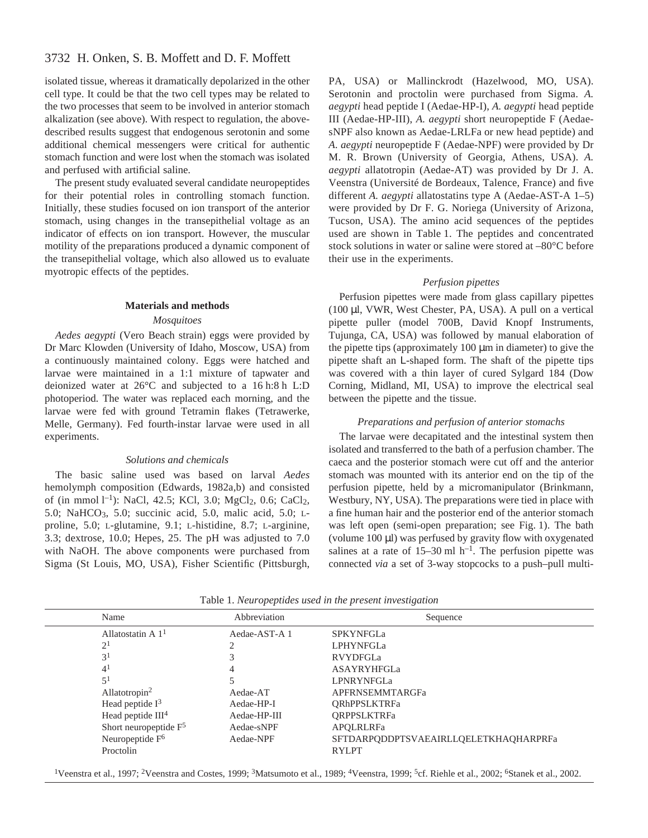# 3732 H. Onken, S. B. Moffett and D. F. Moffett

isolated tissue, whereas it dramatically depolarized in the other cell type. It could be that the two cell types may be related to the two processes that seem to be involved in anterior stomach alkalization (see above). With respect to regulation, the abovedescribed results suggest that endogenous serotonin and some additional chemical messengers were critical for authentic stomach function and were lost when the stomach was isolated and perfused with artificial saline.

The present study evaluated several candidate neuropeptides for their potential roles in controlling stomach function. Initially, these studies focused on ion transport of the anterior stomach, using changes in the transepithelial voltage as an indicator of effects on ion transport. However, the muscular motility of the preparations produced a dynamic component of the transepithelial voltage, which also allowed us to evaluate myotropic effects of the peptides.

### **Materials and methods**

# *Mosquitoes*

*Aedes aegypti* (Vero Beach strain) eggs were provided by Dr Marc Klowden (University of Idaho, Moscow, USA) from a continuously maintained colony. Eggs were hatched and larvae were maintained in a 1:1 mixture of tapwater and deionized water at  $26^{\circ}$ C and subjected to a 16 h:8 h L:D photoperiod. The water was replaced each morning, and the larvae were fed with ground Tetramin flakes (Tetrawerke, Melle, Germany). Fed fourth-instar larvae were used in all experiments.

### *Solutions and chemicals*

The basic saline used was based on larval *Aedes* hemolymph composition (Edwards, 1982a,b) and consisted of (in mmol l<sup>-1</sup>): NaCl, 42.5; KCl, 3.0; MgCl<sub>2</sub>, 0.6; CaCl<sub>2</sub>, 5.0; NaHCO3, 5.0; succinic acid, 5.0, malic acid, 5.0; Lproline, 5.0; L-glutamine, 9.1; L-histidine, 8.7; L-arginine, 3.3; dextrose, 10.0; Hepes, 25. The pH was adjusted to 7.0 with NaOH. The above components were purchased from Sigma (St Louis, MO, USA), Fisher Scientific (Pittsburgh,

PA, USA) or Mallinckrodt (Hazelwood, MO, USA). Serotonin and proctolin were purchased from Sigma. *A. aegypti* head peptide I (Aedae-HP-I), *A. aegypti* head peptide III (Aedae-HP-III), *A. aegypti* short neuropeptide F (AedaesNPF also known as Aedae-LRLFa or new head peptide) and *A. aegypti* neuropeptide F (Aedae-NPF) were provided by Dr M. R. Brown (University of Georgia, Athens, USA). *A. aegypti* allatotropin (Aedae-AT) was provided by Dr J. A. Veenstra (Université de Bordeaux, Talence, France) and five different *A. aegypti* allatostatins type A (Aedae-AST-A 1–5) were provided by Dr F. G. Noriega (University of Arizona, Tucson, USA). The amino acid sequences of the peptides used are shown in Table 1. The peptides and concentrated stock solutions in water or saline were stored at –80°C before their use in the experiments.

# *Perfusion pipettes*

Perfusion pipettes were made from glass capillary pipettes  $(100 \mu l, VWR, West Chester, PA, USA)$ . A pull on a vertical pipette puller (model 700B, David Knopf Instruments, Tujunga, CA, USA) was followed by manual elaboration of the pipette tips (approximately  $100 \mu m$  in diameter) to give the pipette shaft an L-shaped form. The shaft of the pipette tips was covered with a thin layer of cured Sylgard 184 (Dow Corning, Midland, MI, USA) to improve the electrical seal between the pipette and the tissue.

### *Preparations and perfusion of anterior stomachs*

The larvae were decapitated and the intestinal system then isolated and transferred to the bath of a perfusion chamber. The caeca and the posterior stomach were cut off and the anterior stomach was mounted with its anterior end on the tip of the perfusion pipette, held by a micromanipulator (Brinkmann, Westbury, NY, USA). The preparations were tied in place with a fine human hair and the posterior end of the anterior stomach was left open (semi-open preparation; see Fig. 1). The bath (volume  $100 \mu$ ) was perfused by gravity flow with oxygenated salines at a rate of  $15-30$  ml h<sup>-1</sup>. The perfusion pipette was connected *via* a set of 3-way stopcocks to a push–pull multi-

| Tuoto 1:11 can opephaces ascar in the present the contraction |                               |               |                                       |
|---------------------------------------------------------------|-------------------------------|---------------|---------------------------------------|
|                                                               | Name                          | Abbreviation  | Sequence                              |
|                                                               | Allatostatin A $11$           | Aedae-AST-A 1 | <b>SPKYNFGLa</b>                      |
|                                                               | 2 <sup>1</sup>                |               | <b>LPHYNFGLa</b>                      |
|                                                               | 3 <sup>1</sup>                |               | RVYDFGLa                              |
|                                                               | 4 <sup>1</sup>                | 4             | ASAYRYHFGLa                           |
|                                                               | 5 <sup>1</sup>                |               | <b>LPNRYNFGLa</b>                     |
|                                                               | Allatotropin <sup>2</sup>     | Aedae-AT      | APFRNSEMMTARGFa                       |
|                                                               | Head peptide $I^3$            | Aedae-HP-I    | <b>ORhPPSLKTRFa</b>                   |
|                                                               | Head peptide III <sup>4</sup> | Aedae-HP-III  | <b>ORPPSLKTRFa</b>                    |
|                                                               | Short neuropeptide $F5$       | Aedae-sNPF    | APQLRLRFa                             |
|                                                               | Neuropeptide F <sup>6</sup>   | Aedae-NPF     | SFTDARPODDPTSVAEAIRLLOELETKHAOHARPRFa |
|                                                               | Proctolin                     |               | <b>RYLPT</b>                          |
|                                                               |                               |               |                                       |

Table·1. *Neuropeptides used in the present investigation*

<sup>1</sup>Veenstra et al., 1997; <sup>2</sup>Veenstra and Costes, 1999; <sup>3</sup>Matsumoto et al., 1989; <sup>4</sup>Veenstra, 1999; <sup>5</sup>cf. Riehle et al., 2002; <sup>6</sup>Stanek et al., 2002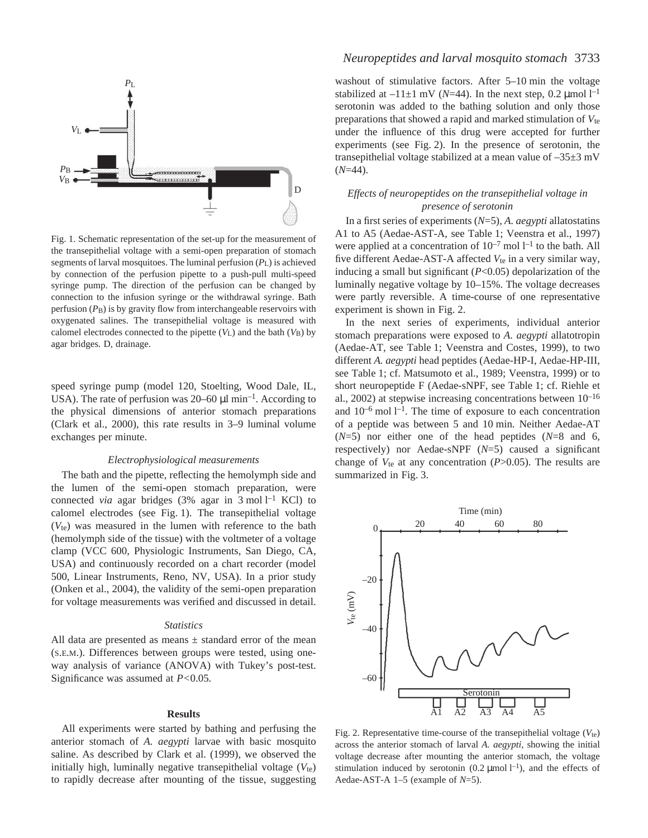

Fig. 1. Schematic representation of the set-up for the measurement of the transepithelial voltage with a semi-open preparation of stomach segments of larval mosquitoes. The luminal perfusion (*P*L) is achieved by connection of the perfusion pipette to a push-pull multi-speed syringe pump. The direction of the perfusion can be changed by connection to the infusion syringe or the withdrawal syringe. Bath perfusion (*P*B) is by gravity flow from interchangeable reservoirs with oxygenated salines. The transepithelial voltage is measured with calomel electrodes connected to the pipette  $(V_L)$  and the bath  $(V_B)$  by agar bridges. D, drainage.

speed syringe pump (model 120, Stoelting, Wood Dale, IL, USA). The rate of perfusion was 20–60  $\mu$ l min<sup>-1</sup>. According to the physical dimensions of anterior stomach preparations (Clark et al., 2000), this rate results in 3–9 luminal volume exchanges per minute.

#### *Electrophysiological measurements*

The bath and the pipette, reflecting the hemolymph side and the lumen of the semi-open stomach preparation, were connected *via* agar bridges (3% agar in 3 mol<sup>1-1</sup> KCl) to calomel electrodes (see Fig. 1). The transepithelial voltage (*V*te) was measured in the lumen with reference to the bath (hemolymph side of the tissue) with the voltmeter of a voltage clamp (VCC 600, Physiologic Instruments, San Diego, CA, USA) and continuously recorded on a chart recorder (model 500, Linear Instruments, Reno, NV, USA). In a prior study (Onken et al., 2004), the validity of the semi-open preparation for voltage measurements was verified and discussed in detail.

#### *Statistics*

All data are presented as means  $\pm$  standard error of the mean (S.E.M.). Differences between groups were tested, using oneway analysis of variance (ANOVA) with Tukey's post-test. Significance was assumed at *P<*0.05.

### **Results**

All experiments were started by bathing and perfusing the anterior stomach of *A. aegypti* larvae with basic mosquito saline. As described by Clark et al. (1999), we observed the initially high, luminally negative transepithelial voltage  $(V_{te})$ to rapidly decrease after mounting of the tissue, suggesting

# *Neuropeptides and larval mosquito stomach* 3733

washout of stimulative factors. After  $5-10$  min the voltage stabilized at  $-11\pm1$  mV (*N*=44). In the next step, 0.2 µmol  $l^{-1}$ serotonin was added to the bathing solution and only those preparations that showed a rapid and marked stimulation of *V*te under the influence of this drug were accepted for further experiments (see Fig. 2). In the presence of serotonin, the transepithelial voltage stabilized at a mean value of  $-35\pm3$  mV (*N*=44).

# *Effects of neuropeptides on the transepithelial voltage in presence of serotonin*

In a first series of experiments (*N*=5), *A. aegypti* allatostatins A1 to A5 (Aedae-AST-A, see Table 1; Veenstra et al., 1997) were applied at a concentration of  $10^{-7}$  mol  $1^{-1}$  to the bath. All five different Aedae-AST-A affected  $V_{te}$  in a very similar way, inducing a small but significant (*P*<0.05) depolarization of the luminally negative voltage by 10–15%. The voltage decreases were partly reversible. A time-course of one representative experiment is shown in Fig. 2.

In the next series of experiments, individual anterior stomach preparations were exposed to *A. aegypti* allatotropin (Aedae-AT, see Table 1; Veenstra and Costes, 1999), to two different *A. aegypti* head peptides (Aedae-HP-I, Aedae-HP-III, see Table 1; cf. Matsumoto et al., 1989; Veenstra, 1999) or to short neuropeptide F (Aedae-sNPF, see Table 1; cf. Riehle et al., 2002) at stepwise increasing concentrations between  $10^{-16}$ and  $10^{-6}$  mol  $1^{-1}$ . The time of exposure to each concentration of a peptide was between 5 and 10 min. Neither Aedae-AT (*N*=5) nor either one of the head peptides (*N*=8 and 6, respectively) nor Aedae-sNPF (*N*=5) caused a significant change of  $V_{te}$  at any concentration ( $P > 0.05$ ). The results are summarized in Fig. 3.



Fig. 2. Representative time-course of the transepithelial voltage  $(V_{te})$ across the anterior stomach of larval *A. aegypti*, showing the initial voltage decrease after mounting the anterior stomach, the voltage stimulation induced by serotonin  $(0.2 \mu \text{mol} \, \text{m}^{-1})$ , and the effects of Aedae-AST-A 1–5 (example of *N*=5).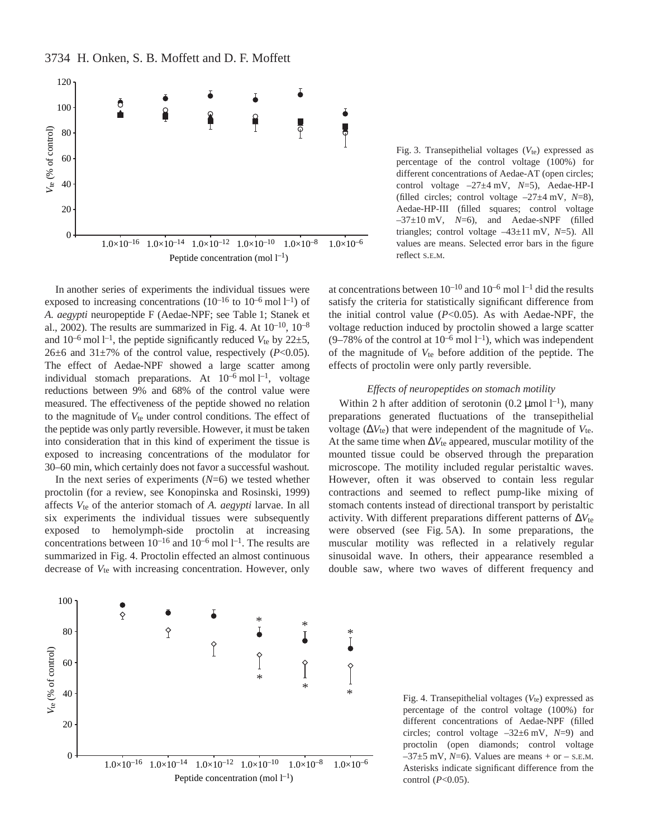3734 H. Onken, S. B. Moffett and D. F. Moffett



In another series of experiments the individual tissues were exposed to increasing concentrations  $(10^{-16}$  to  $10^{-6}$  mol  $l^{-1}$ ) of *A. aegypti* neuropeptide F (Aedae-NPF; see Table 1; Stanek et al., 2002). The results are summarized in Fig. 4. At  $10^{-10}$ ,  $10^{-8}$ and  $10^{-6}$  mol  $l^{-1}$ , the peptide significantly reduced  $V_{te}$  by  $22\pm5$ , 26 $\pm$ 6 and 31 $\pm$ 7% of the control value, respectively (*P*<0.05). The effect of Aedae-NPF showed a large scatter among individual stomach preparations. At  $10^{-6}$  mol  $1^{-1}$ , voltage reductions between 9% and 68% of the control value were measured. The effectiveness of the peptide showed no relation to the magnitude of *V*te under control conditions. The effect of the peptide was only partly reversible. However, it must be taken into consideration that in this kind of experiment the tissue is exposed to increasing concentrations of the modulator for 30–60·min, which certainly does not favor a successful washout*.*

In the next series of experiments  $(N=6)$  we tested whether proctolin (for a review, see Konopinska and Rosinski, 1999) affects *V*te of the anterior stomach of *A. aegypti* larvae. In all six experiments the individual tissues were subsequently exposed to hemolymph-side proctolin at increasing concentrations between  $10^{-16}$  and  $10^{-6}$  mol  $1^{-1}$ . The results are summarized in Fig. 4. Proctolin effected an almost continuous decrease of  $V_{te}$  with increasing concentration. However, only

Fig. 3. Transepithelial voltages  $(V_{te})$  expressed as percentage of the control voltage (100%) for different concentrations of Aedae-AT (open circles; control voltage  $-27\pm 4$  mV,  $N=5$ ), Aedae-HP-I (filled circles; control voltage  $-27\pm 4$  mV,  $N=8$ ), Aedae-HP-III (filled squares; control voltage  $-37\pm10$  mV,  $N=6$ ), and Aedae-sNPF (filled triangles; control voltage  $-43\pm11$  mV,  $N=5$ ). All values are means. Selected error bars in the figure reflect S.E.M.

at concentrations between  $10^{-10}$  and  $10^{-6}$  mol  $1^{-1}$  did the results satisfy the criteria for statistically significant difference from the initial control value (*P*<0.05). As with Aedae-NPF, the voltage reduction induced by proctolin showed a large scatter  $(9-78\%$  of the control at  $10^{-6}$  mol  $1^{-1}$ ), which was independent of the magnitude of *V*te before addition of the peptide. The effects of proctolin were only partly reversible.

### *Effects of neuropeptides on stomach motility*

Within 2 h after addition of serotonin  $(0.2 \mu \text{mol} \, \text{m}^{-1})$ , many preparations generated fluctuations of the transepithelial voltage (∆*V*te) that were independent of the magnitude of *V*te. At the same time when ∆*V*te appeared, muscular motility of the mounted tissue could be observed through the preparation microscope. The motility included regular peristaltic waves. However, often it was observed to contain less regular contractions and seemed to reflect pump-like mixing of stomach contents instead of directional transport by peristaltic activity. With different preparations different patterns of ∆*V*te were observed (see Fig.  $5A$ ). In some preparations, the muscular motility was reflected in a relatively regular sinusoidal wave. In others, their appearance resembled a double saw, where two waves of different frequency and



Fig. 4. Transepithelial voltages  $(V_{te})$  expressed as percentage of the control voltage (100%) for different concentrations of Aedae-NPF (filled circles; control voltage  $-32\pm 6$  mV,  $N=9$ ) and proctolin (open diamonds; control voltage  $-37\pm5$  mV,  $N=6$ ). Values are means + or – s.E.M. Asterisks indicate significant difference from the control (*P*<0.05).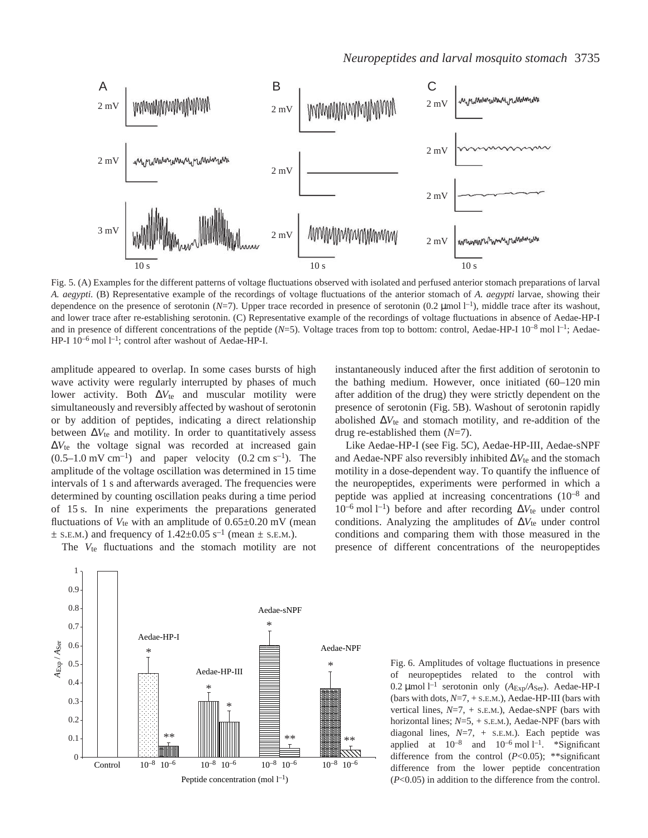

Fig. 5. (A) Examples for the different patterns of voltage fluctuations observed with isolated and perfused anterior stomach preparations of larval *A. aegypti.* (B) Representative example of the recordings of voltage fluctuations of the anterior stomach of *A. aegypti* larvae, showing their dependence on the presence of serotonin  $(N=7)$ . Upper trace recorded in presence of serotonin  $(0.2 \text{ µmol l}^{-1})$ , middle trace after its washout, and lower trace after re-establishing serotonin. (C) Representative example of the recordings of voltage fluctuations in absence of Aedae-HP-I and in presence of different concentrations of the peptide (*N*=5). Voltage traces from top to bottom: control, Aedae-HP-I 10<sup>-8</sup> mol l<sup>-1</sup>; Aedae-HP-I 10<sup>-6</sup> mol l<sup>-1</sup>; control after washout of Aedae-HP-I.

amplitude appeared to overlap. In some cases bursts of high wave activity were regularly interrupted by phases of much lower activity. Both ∆*V*te and muscular motility were simultaneously and reversibly affected by washout of serotonin or by addition of peptides, indicating a direct relationship between ∆*V*te and motility. In order to quantitatively assess ∆*V*te the voltage signal was recorded at increased gain  $(0.5-1.0~\text{mV cm}^{-1})$  and paper velocity  $(0.2~\text{cm s}^{-1})$ . The amplitude of the voltage oscillation was determined in 15 time intervals of 1 s and afterwards averaged. The frequencies were determined by counting oscillation peaks during a time period of 15 s. In nine experiments the preparations generated fluctuations of  $V_{te}$  with an amplitude of  $0.65\pm0.20$  mV (mean  $\pm$  S.E.M.) and frequency of 1.42 $\pm$ 0.05 s<sup>-1</sup> (mean  $\pm$  S.E.M.).

The *V*<sub>te</sub> fluctuations and the stomach motility are not

instantaneously induced after the first addition of serotonin to the bathing medium. However, once initiated  $(60-120$  min after addition of the drug) they were strictly dependent on the presence of serotonin (Fig. 5B). Washout of serotonin rapidly abolished ∆*V*te and stomach motility, and re-addition of the drug re-established them (*N*=7).

Like Aedae-HP-I (see Fig. 5C), Aedae-HP-III, Aedae-sNPF and Aedae-NPF also reversibly inhibited ∆*V*te and the stomach motility in a dose-dependent way. To quantify the influence of the neuropeptides, experiments were performed in which a peptide was applied at increasing concentrations (10–8 and 10<sup>-6</sup> mol l<sup>-1</sup>) before and after recording ΔV<sub>te</sub> under control conditions. Analyzing the amplitudes of ∆*V*te under control conditions and comparing them with those measured in the presence of different concentrations of the neuropeptides



Fig. 6. Amplitudes of voltage fluctuations in presence of neuropeptides related to the control with 0.2 μmol<sup>1-1</sup> serotonin only (*A*<sub>Exp</sub>/*A*<sub>Ser</sub>). Aedae-HP-I (bars with dots, *N*=7, + S.E.M.), Aedae-HP-III (bars with vertical lines, *N*=7, + S.E.M.), Aedae-sNPF (bars with horizontal lines; *N*=5, + S.E.M.), Aedae-NPF (bars with diagonal lines, *N*=7, + S.E.M.). Each peptide was applied at  $10^{-8}$  and  $10^{-6}$  mol  $1^{-1}$ . \*Significant difference from the control (*P*<0.05); \*\*significant difference from the lower peptide concentration (*P*<0.05) in addition to the difference from the control.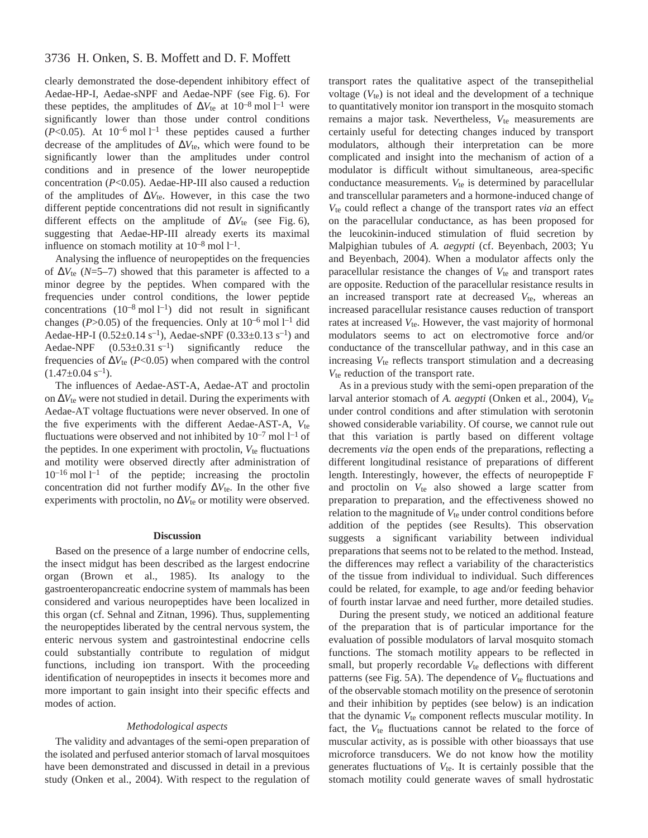clearly demonstrated the dose-dependent inhibitory effect of Aedae-HP-I, Aedae-sNPF and Aedae-NPF (see Fig. 6). For these peptides, the amplitudes of  $\Delta V_{\text{te}}$  at 10<sup>-8</sup> mol<sup>1-1</sup> were significantly lower than those under control conditions  $(P<0.05)$ . At  $10^{-6}$  mol l<sup>-1</sup> these peptides caused a further decrease of the amplitudes of ∆*V*<sub>te</sub>, which were found to be significantly lower than the amplitudes under control conditions and in presence of the lower neuropeptide concentration (*P*<0.05). Aedae-HP-III also caused a reduction of the amplitudes of ∆*V*te. However, in this case the two different peptide concentrations did not result in significantly different effects on the amplitude of  $\Delta V_{\text{te}}$  (see Fig. 6), suggesting that Aedae-HP-III already exerts its maximal influence on stomach motility at  $10^{-8}$  mol  $l^{-1}$ .

Analysing the influence of neuropeptides on the frequencies of ∆*V*te (*N*=5–7) showed that this parameter is affected to a minor degree by the peptides. When compared with the frequencies under control conditions, the lower peptide concentrations  $(10^{-8} \text{ mol } l^{-1})$  did not result in significant changes ( $P > 0.05$ ) of the frequencies. Only at  $10^{-6}$  mol  $1^{-1}$  did Aedae-HP-I (0.52 $\pm$ 0.14 s<sup>-1</sup>), Aedae-sNPF (0.33 $\pm$ 0.13 s<sup>-1</sup>) and Aedae-NPF  $(0.53\pm0.31 \text{ s}^{-1})$  significantly reduce the frequencies of  $\Delta V_{\text{te}}$  (*P*<0.05) when compared with the control  $(1.47\pm0.04~s^{-1}).$ 

The influences of Aedae-AST-A, Aedae-AT and proctolin on ∆*V*te were not studied in detail. During the experiments with Aedae-AT voltage fluctuations were never observed. In one of the five experiments with the different Aedae-AST-A, *V*te fluctuations were observed and not inhibited by  $10^{-7}$  mol  $1^{-1}$  of the peptides. In one experiment with proctolin,  $V_{te}$  fluctuations and motility were observed directly after administration of  $10^{-16}$  mol  $1^{-1}$  of the peptide; increasing the proctolin concentration did not further modify ∆*V*te. In the other five experiments with proctolin, no ∆*V*<sub>te</sub> or motility were observed.

### **Discussion**

Based on the presence of a large number of endocrine cells, the insect midgut has been described as the largest endocrine organ (Brown et al., 1985). Its analogy to the gastroenteropancreatic endocrine system of mammals has been considered and various neuropeptides have been localized in this organ (cf. Sehnal and Zitnan, 1996). Thus, supplementing the neuropeptides liberated by the central nervous system, the enteric nervous system and gastrointestinal endocrine cells could substantially contribute to regulation of midgut functions, including ion transport. With the proceeding identification of neuropeptides in insects it becomes more and more important to gain insight into their specific effects and modes of action.

### *Methodological aspects*

The validity and advantages of the semi-open preparation of the isolated and perfused anterior stomach of larval mosquitoes have been demonstrated and discussed in detail in a previous study (Onken et al., 2004). With respect to the regulation of transport rates the qualitative aspect of the transepithelial voltage  $(V_{te})$  is not ideal and the development of a technique to quantitatively monitor ion transport in the mosquito stomach remains a major task. Nevertheless, *V*te measurements are certainly useful for detecting changes induced by transport modulators, although their interpretation can be more complicated and insight into the mechanism of action of a modulator is difficult without simultaneous, area-specific conductance measurements.  $V_{te}$  is determined by paracellular and transcellular parameters and a hormone-induced change of *V*te could reflect a change of the transport rates *via* an effect on the paracellular conductance, as has been proposed for the leucokinin-induced stimulation of fluid secretion by Malpighian tubules of *A. aegypti* (cf. Beyenbach, 2003; Yu and Beyenbach, 2004). When a modulator affects only the paracellular resistance the changes of  $V_{te}$  and transport rates are opposite. Reduction of the paracellular resistance results in an increased transport rate at decreased  $V_{te}$ , whereas an increased paracellular resistance causes reduction of transport rates at increased  $V_{te}$ . However, the vast majority of hormonal modulators seems to act on electromotive force and/or conductance of the transcellular pathway, and in this case an increasing  $V_{te}$  reflects transport stimulation and a decreasing *V*te reduction of the transport rate.

As in a previous study with the semi-open preparation of the larval anterior stomach of *A. aegypti* (Onken et al., 2004), *V*te under control conditions and after stimulation with serotonin showed considerable variability. Of course, we cannot rule out that this variation is partly based on different voltage decrements *via* the open ends of the preparations, reflecting a different longitudinal resistance of preparations of different length. Interestingly, however, the effects of neuropeptide F and proctolin on  $V_{te}$  also showed a large scatter from preparation to preparation, and the effectiveness showed no relation to the magnitude of  $V_{te}$  under control conditions before addition of the peptides (see Results). This observation suggests a significant variability between individual preparations that seems not to be related to the method. Instead, the differences may reflect a variability of the characteristics of the tissue from individual to individual. Such differences could be related, for example, to age and/or feeding behavior of fourth instar larvae and need further, more detailed studies.

During the present study, we noticed an additional feature of the preparation that is of particular importance for the evaluation of possible modulators of larval mosquito stomach functions. The stomach motility appears to be reflected in small, but properly recordable  $V_{te}$  deflections with different patterns (see Fig. 5A). The dependence of  $V_{te}$  fluctuations and of the observable stomach motility on the presence of serotonin and their inhibition by peptides (see below) is an indication that the dynamic  $V_{te}$  component reflects muscular motility. In fact, the  $V_{te}$  fluctuations cannot be related to the force of muscular activity, as is possible with other bioassays that use microforce transducers. We do not know how the motility generates fluctuations of  $V_{te}$ . It is certainly possible that the stomach motility could generate waves of small hydrostatic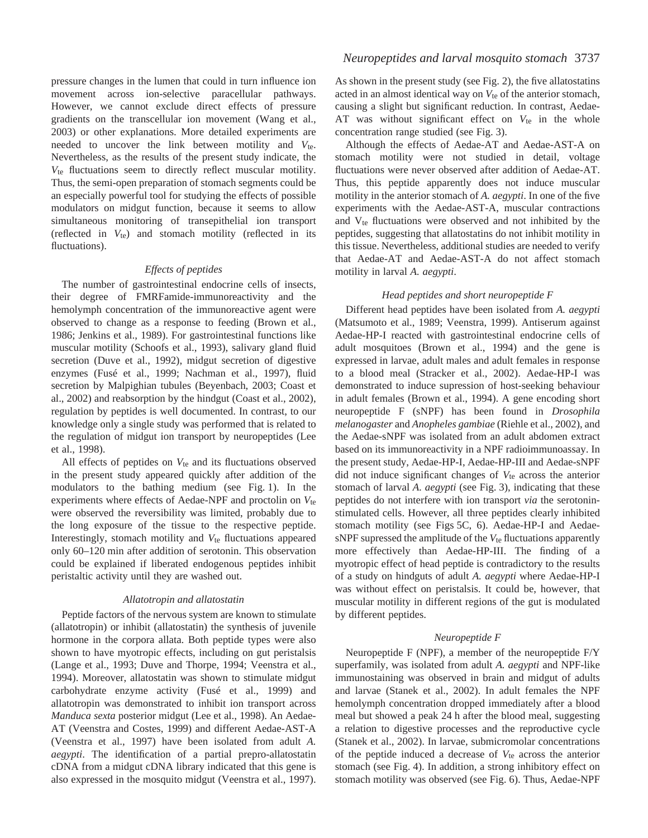pressure changes in the lumen that could in turn influence ion movement across ion-selective paracellular pathways. However, we cannot exclude direct effects of pressure gradients on the transcellular ion movement (Wang et al., 2003) or other explanations. More detailed experiments are needed to uncover the link between motility and  $V_{te}$ . Nevertheless, as the results of the present study indicate, the *V*te fluctuations seem to directly reflect muscular motility. Thus, the semi-open preparation of stomach segments could be an especially powerful tool for studying the effects of possible modulators on midgut function, because it seems to allow simultaneous monitoring of transepithelial ion transport (reflected in  $V_{te}$ ) and stomach motility (reflected in its fluctuations).

## *Effects of peptides*

The number of gastrointestinal endocrine cells of insects, their degree of FMRFamide-immunoreactivity and the hemolymph concentration of the immunoreactive agent were observed to change as a response to feeding (Brown et al., 1986; Jenkins et al., 1989). For gastrointestinal functions like muscular motility (Schoofs et al., 1993), salivary gland fluid secretion (Duve et al., 1992), midgut secretion of digestive enzymes (Fusé et al., 1999; Nachman et al., 1997), fluid secretion by Malpighian tubules (Beyenbach, 2003; Coast et al., 2002) and reabsorption by the hindgut (Coast et al., 2002), regulation by peptides is well documented. In contrast, to our knowledge only a single study was performed that is related to the regulation of midgut ion transport by neuropeptides (Lee et al., 1998).

All effects of peptides on  $V_{te}$  and its fluctuations observed in the present study appeared quickly after addition of the modulators to the bathing medium (see Fig. 1). In the experiments where effects of Aedae-NPF and proctolin on *V*te were observed the reversibility was limited, probably due to the long exposure of the tissue to the respective peptide. Interestingly, stomach motility and  $V_{te}$  fluctuations appeared only 60–120 min after addition of serotonin. This observation could be explained if liberated endogenous peptides inhibit peristaltic activity until they are washed out.

#### *Allatotropin and allatostatin*

Peptide factors of the nervous system are known to stimulate (allatotropin) or inhibit (allatostatin) the synthesis of juvenile hormone in the corpora allata. Both peptide types were also shown to have myotropic effects, including on gut peristalsis (Lange et al., 1993; Duve and Thorpe, 1994; Veenstra et al., 1994). Moreover, allatostatin was shown to stimulate midgut carbohydrate enzyme activity (Fusé et al., 1999) and allatotropin was demonstrated to inhibit ion transport across *Manduca sexta* posterior midgut (Lee et al., 1998). An Aedae-AT (Veenstra and Costes, 1999) and different Aedae-AST-A (Veenstra et al., 1997) have been isolated from adult *A. aegypti*. The identification of a partial prepro-allatostatin cDNA from a midgut cDNA library indicated that this gene is also expressed in the mosquito midgut (Veenstra et al., 1997). As shown in the present study (see Fig. 2), the five allatostatins acted in an almost identical way on  $V_{te}$  of the anterior stomach, causing a slight but significant reduction. In contrast, Aedae-AT was without significant effect on  $V_{te}$  in the whole concentration range studied (see Fig. 3).

Although the effects of Aedae-AT and Aedae-AST-A on stomach motility were not studied in detail, voltage fluctuations were never observed after addition of Aedae-AT. Thus, this peptide apparently does not induce muscular motility in the anterior stomach of *A. aegypti*. In one of the five experiments with the Aedae-AST-A, muscular contractions and  $V_{te}$  fluctuations were observed and not inhibited by the peptides, suggesting that allatostatins do not inhibit motility in this tissue. Nevertheless, additional studies are needed to verify that Aedae-AT and Aedae-AST-A do not affect stomach motility in larval *A. aegypti*.

### *Head peptides and short neuropeptide F*

Different head peptides have been isolated from *A. aegypti* (Matsumoto et al., 1989; Veenstra, 1999). Antiserum against Aedae-HP-I reacted with gastrointestinal endocrine cells of adult mosquitoes (Brown et al., 1994) and the gene is expressed in larvae, adult males and adult females in response to a blood meal (Stracker et al., 2002). Aedae-HP-I was demonstrated to induce supression of host-seeking behaviour in adult females (Brown et al., 1994). A gene encoding short neuropeptide F (sNPF) has been found in *Drosophila melanogaster* and *Anopheles gambiae* (Riehle et al., 2002), and the Aedae-sNPF was isolated from an adult abdomen extract based on its immunoreactivity in a NPF radioimmunoassay. In the present study, Aedae-HP-I, Aedae-HP-III and Aedae-sNPF did not induce significant changes of  $V_{te}$  across the anterior stomach of larval *A. aegypti* (see Fig. 3), indicating that these peptides do not interfere with ion transport *via* the serotoninstimulated cells. However, all three peptides clearly inhibited stomach motility (see Figs 5C, 6). Aedae-HP-I and AedaesNPF supressed the amplitude of the  $V_{te}$  fluctuations apparently more effectively than Aedae-HP-III. The finding of a myotropic effect of head peptide is contradictory to the results of a study on hindguts of adult *A. aegypti* where Aedae-HP-I was without effect on peristalsis. It could be, however, that muscular motility in different regions of the gut is modulated by different peptides.

### *Neuropeptide F*

Neuropeptide F (NPF), a member of the neuropeptide F/Y superfamily, was isolated from adult *A. aegypti* and NPF-like immunostaining was observed in brain and midgut of adults and larvae (Stanek et al., 2002). In adult females the NPF hemolymph concentration dropped immediately after a blood meal but showed a peak 24 h after the blood meal, suggesting a relation to digestive processes and the reproductive cycle (Stanek et al., 2002). In larvae, submicromolar concentrations of the peptide induced a decrease of *V*te across the anterior stomach (see Fig. 4). In addition, a strong inhibitory effect on stomach motility was observed (see Fig. 6). Thus, Aedae-NPF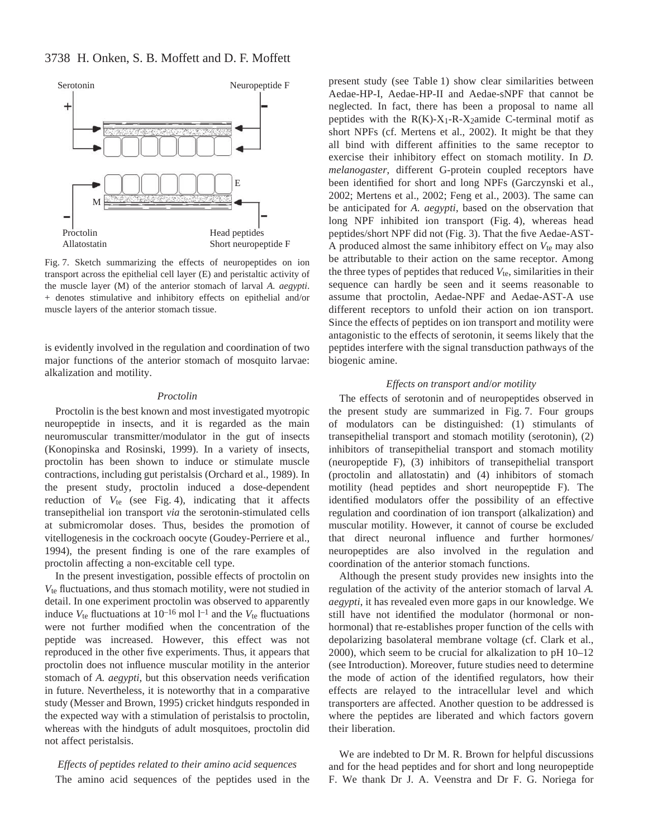# 3738 H. Onken, S. B. Moffett and D. F. Moffett



Fig. 7. Sketch summarizing the effects of neuropeptides on ion transport across the epithelial cell layer (E) and peristaltic activity of the muscle layer (M) of the anterior stomach of larval *A. aegypti*. + denotes stimulative and inhibitory effects on epithelial and/or muscle layers of the anterior stomach tissue.

is evidently involved in the regulation and coordination of two major functions of the anterior stomach of mosquito larvae: alkalization and motility.

### *Proctolin*

Proctolin is the best known and most investigated myotropic neuropeptide in insects, and it is regarded as the main neuromuscular transmitter/modulator in the gut of insects (Konopinska and Rosinski, 1999). In a variety of insects, proctolin has been shown to induce or stimulate muscle contractions, including gut peristalsis (Orchard et al., 1989). In the present study, proctolin induced a dose-dependent reduction of  $V_{te}$  (see Fig. 4), indicating that it affects transepithelial ion transport *via* the serotonin-stimulated cells at submicromolar doses. Thus, besides the promotion of vitellogenesis in the cockroach oocyte (Goudey-Perriere et al., 1994), the present finding is one of the rare examples of proctolin affecting a non-excitable cell type.

In the present investigation, possible effects of proctolin on *V*te fluctuations, and thus stomach motility, were not studied in detail. In one experiment proctolin was observed to apparently induce  $V_{te}$  fluctuations at  $10^{-16}$  mol  $l^{-1}$  and the  $V_{te}$  fluctuations were not further modified when the concentration of the peptide was increased. However, this effect was not reproduced in the other five experiments. Thus, it appears that proctolin does not influence muscular motility in the anterior stomach of *A. aegypti*, but this observation needs verification in future. Nevertheless, it is noteworthy that in a comparative study (Messer and Brown, 1995) cricket hindguts responded in the expected way with a stimulation of peristalsis to proctolin, whereas with the hindguts of adult mosquitoes, proctolin did not affect peristalsis.

*Effects of peptides related to their amino acid sequences* The amino acid sequences of the peptides used in the present study (see Table 1) show clear similarities between Aedae-HP-I, Aedae-HP-II and Aedae-sNPF that cannot be neglected. In fact, there has been a proposal to name all peptides with the  $R(K)-X_1-R-X_2$ amide C-terminal motif as short NPFs (cf. Mertens et al., 2002). It might be that they all bind with different affinities to the same receptor to exercise their inhibitory effect on stomach motility. In *D. melanogaster*, different G-protein coupled receptors have been identified for short and long NPFs (Garczynski et al., 2002; Mertens et al., 2002; Feng et al., 2003). The same can be anticipated for *A. aegypti*, based on the observation that long NPF inhibited ion transport (Fig. 4), whereas head peptides/short NPF did not (Fig. 3). That the five Aedae-AST-A produced almost the same inhibitory effect on *V*te may also be attributable to their action on the same receptor. Among the three types of peptides that reduced  $V_{te}$ , similarities in their sequence can hardly be seen and it seems reasonable to assume that proctolin, Aedae-NPF and Aedae-AST-A use different receptors to unfold their action on ion transport. Since the effects of peptides on ion transport and motility were antagonistic to the effects of serotonin, it seems likely that the peptides interfere with the signal transduction pathways of the biogenic amine.

### *Effects on transport and*/*or motility*

The effects of serotonin and of neuropeptides observed in the present study are summarized in Fig. 7. Four groups of modulators can be distinguished: (1) stimulants of transepithelial transport and stomach motility (serotonin), (2) inhibitors of transepithelial transport and stomach motility (neuropeptide F), (3) inhibitors of transepithelial transport (proctolin and allatostatin) and (4) inhibitors of stomach motility (head peptides and short neuropeptide F). The identified modulators offer the possibility of an effective regulation and coordination of ion transport (alkalization) and muscular motility. However, it cannot of course be excluded that direct neuronal influence and further hormones/ neuropeptides are also involved in the regulation and coordination of the anterior stomach functions.

Although the present study provides new insights into the regulation of the activity of the anterior stomach of larval *A. aegypti*, it has revealed even more gaps in our knowledge. We still have not identified the modulator (hormonal or nonhormonal) that re-establishes proper function of the cells with depolarizing basolateral membrane voltage (cf. Clark et al., 2000), which seem to be crucial for alkalization to pH 10–12 (see Introduction). Moreover, future studies need to determine the mode of action of the identified regulators, how their effects are relayed to the intracellular level and which transporters are affected. Another question to be addressed is where the peptides are liberated and which factors govern their liberation.

We are indebted to Dr M. R. Brown for helpful discussions and for the head peptides and for short and long neuropeptide F. We thank Dr J. A. Veenstra and Dr F. G. Noriega for